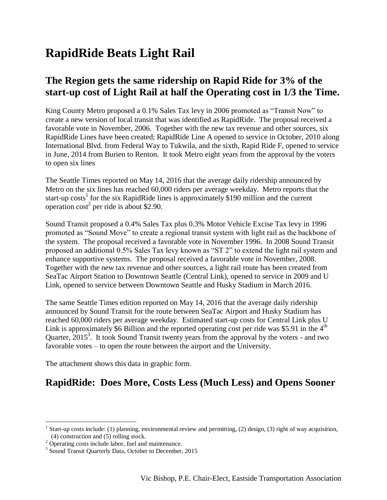## **RapidRide Beats Light Rail**

## **The Region gets the same ridership on Rapid Ride for 3% of the start-up cost of Light Rail at half the Operating cost in 1/3 the Time.**

King County Metro proposed a 0.1% Sales Tax levy in 2006 promoted as "Transit Now" to create a new version of local transit that was identified as RapidRide. The proposal received a favorable vote in November, 2006. Together with the new tax revenue and other sources, six RapidRide Lines have been created; RapidRide Line A opened to service in October, 2010 along International Blvd. from Federal Way to Tukwila, and the sixth, Rapid Ride F, opened to service in June, 2014 from Burien to Renton. It took Metro eight years from the approval by the voters to open six lines

The Seattle Times reported on May 14, 2016 that the average daily ridership announced by Metro on the six lines has reached 60,000 riders per average weekday. Metro reports that the start-up  $costs<sup>1</sup>$  for the six RapidRide lines is approximately \$190 million and the current operation  $\cos t^2$  per ride is about \$2.90.

Sound Transit proposed a 0.4% Sales Tax plus 0.3% Motor Vehicle Excise Tax levy in 1996 promoted as "Sound Move" to create a regional transit system with light rail as the backbone of the system. The proposal received a favorable vote in November 1996. In 2008 Sound Transit proposed an additional 0.5% Sales Tax levy known as "ST 2" to extend the light rail system and enhance supportive systems. The proposal received a favorable vote in November, 2008. Together with the new tax revenue and other sources, a light rail route has been created from SeaTac Airport Station to Downtown Seattle (Central Link), opened to service in 2009 and U Link, opened to service between Downtown Seattle and Husky Stadium in March 2016.

The same Seattle Times edition reported on May 14, 2016 that the average daily ridership announced by Sound Transit for the route between SeaTac Airport and Husky Stadium has reached 60,000 riders per average weekday. Estimated start-up costs for Central Link plus U Link is approximately \$6 Billion and the reported operating cost per ride was \$5.91 in the  $4<sup>th</sup>$ Quarter, 2015<sup>3</sup>. It took Sound Transit twenty years from the approval by the voters - and two favorable votes – to open the route between the airport and the University.

The attachment shows this data in graphic form.

## **RapidRide: Does More, Costs Less (Much Less) and Opens Sooner**

 $\overline{a}$ 

<sup>&</sup>lt;sup>1</sup> Start-up costs include: (1) planning, environmental review and permitting, (2) design, (3) right of way acquisition, (4) construction and (5) rolling stock.

 $2$  Operating costs include labor, fuel and maintenance.

<sup>&</sup>lt;sup>3</sup> Sound Transit Quarterly Data, October to December, 2015